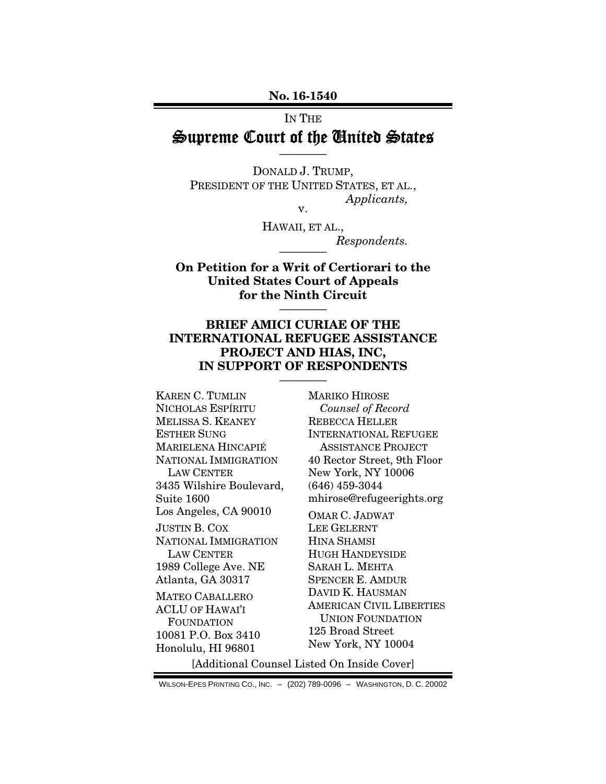No. 16-1540

#### IN THE

# Supreme Court of the United States ————

DONALD J. TRUMP, PRESIDENT OF THE UNITED STATES, ET AL., *Applicants,*  v.

> HAWAII, ET AL.,  $Respondents.$

On Petition for a Writ of Certiorari to the United States Court of Appeals for the Ninth Circuit

————

## BRIEF AMICI CURIAE OF THE INTERNATIONAL REFUGEE ASSISTANCE PROJECT AND HIAS, INC, IN SUPPORT OF RESPONDENTS

————

KAREN C. TUMLIN NICHOLAS ESPÍRITU MELISSA S. KEANEY ESTHER SUNG MARIELENA HINCAPIÉ NATIONAL IMMIGRATION LAW CENTER 3435 Wilshire Boulevard, Suite 1600 Los Angeles, CA 90010 JUSTIN B. COX NATIONAL IMMIGRATION LAW CENTER 1989 College Ave. NE Atlanta, GA 30317 MATEO CABALLERO ACLU OF HAWAI'I FOUNDATION 10081 P.O. Box 3410 Honolulu, HI 96801

MARIKO HIROSE *Counsel of Record*  REBECCA HELLER INTERNATIONAL REFUGEE ASSISTANCE PROJECT 40 Rector Street, 9th Floor New York, NY 10006 (646) 459-3044 mhirose@refugeerights.org

OMAR C. JADWAT LEE GELERNT HINA SHAMSI HUGH HANDEYSIDE SARAH L. MEHTA SPENCER E. AMDUR DAVID K. HAUSMAN AMERICAN CIVIL LIBERTIES UNION FOUNDATION 125 Broad Street New York, NY 10004

[Additional Counsel Listed On Inside Cover]

WILSON-EPES PRINTING CO., INC. – (202) 789-0096 – WASHINGTON, D. C. 20002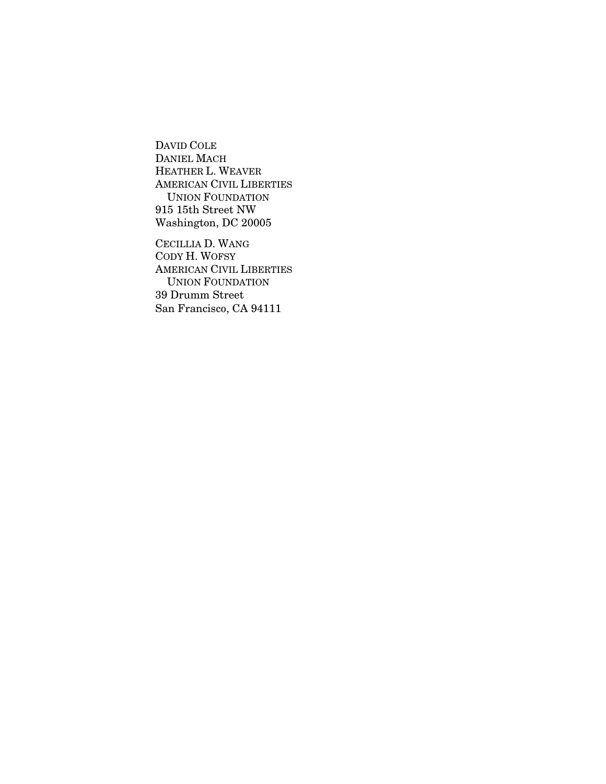DAVID COLE DANIEL MACH HEATHER L. WEAVER AMERICAN CIVIL LIBERTIES UNION FOUNDATION 915 15th Street NW Washington, DC 20005

CECILLIA D. WANG CODY H. WOFSY AMERICAN CIVIL LIBERTIES UNION FOUNDATION 39 Drumm Street San Francisco, CA 94111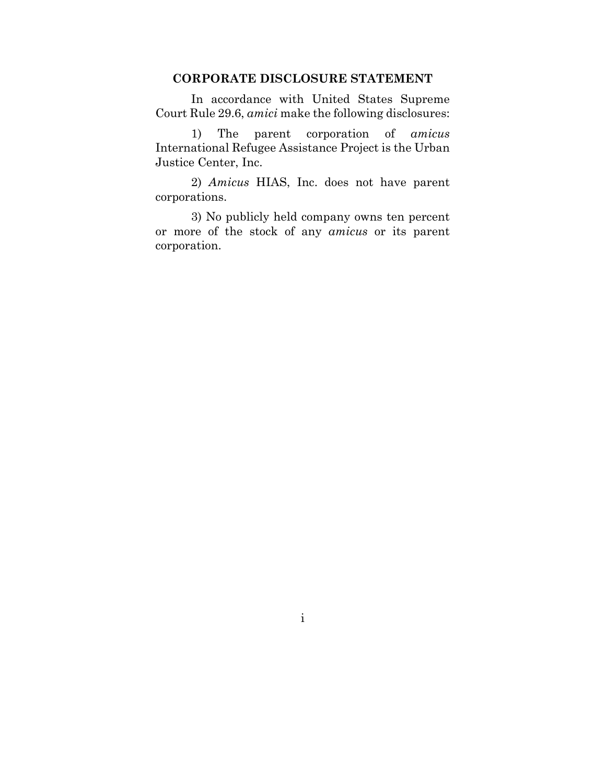### **CORPORATE DISCLOSURE STATEMENT**

In accordance with United States Supreme Court Rule 29.6, *amici* make the following disclosures:

1) The parent corporation of *amicus* International Refugee Assistance Project is the Urban Justice Center, Inc.

2) *Amicus* HIAS, Inc. does not have parent corporations.

3) No publicly held company owns ten percent or more of the stock of any *amicus* or its parent corporation.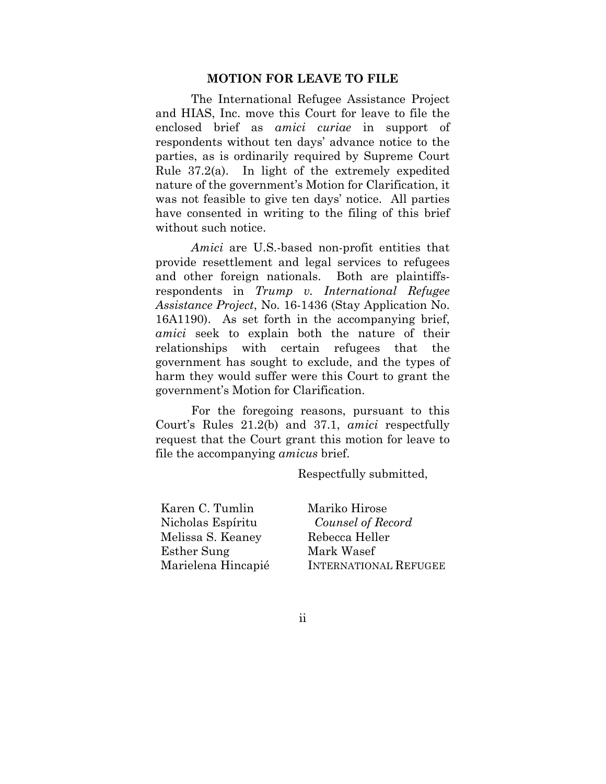#### **MOTION FOR LEAVE TO FILE**

The International Refugee Assistance Project and HIAS, Inc. move this Court for leave to file the enclosed brief as *amici curiae* in support of respondents without ten days' advance notice to the parties, as is ordinarily required by Supreme Court Rule 37.2(a). In light of the extremely expedited nature of the government's Motion for Clarification, it was not feasible to give ten days' notice. All parties have consented in writing to the filing of this brief without such notice.

*Amici* are U.S.-based non-profit entities that provide resettlement and legal services to refugees and other foreign nationals. Both are plaintiffsrespondents in *Trump v. International Refugee Assistance Project*, No. 16-1436 (Stay Application No. 16A1190). As set forth in the accompanying brief, *amici* seek to explain both the nature of their relationships with certain refugees that the government has sought to exclude, and the types of harm they would suffer were this Court to grant the government's Motion for Clarification.

For the foregoing reasons, pursuant to this Court's Rules 21.2(b) and 37.1, *amici* respectfully request that the Court grant this motion for leave to file the accompanying *amicus* brief.

Respectfully submitted,

Karen C. Tumlin Nicholas Espíritu Melissa S. Keaney Esther Sung Marielena Hincapié

Mariko Hirose *Counsel of Record* Rebecca Heller Mark Wasef INTERNATIONAL REFUGEE

ii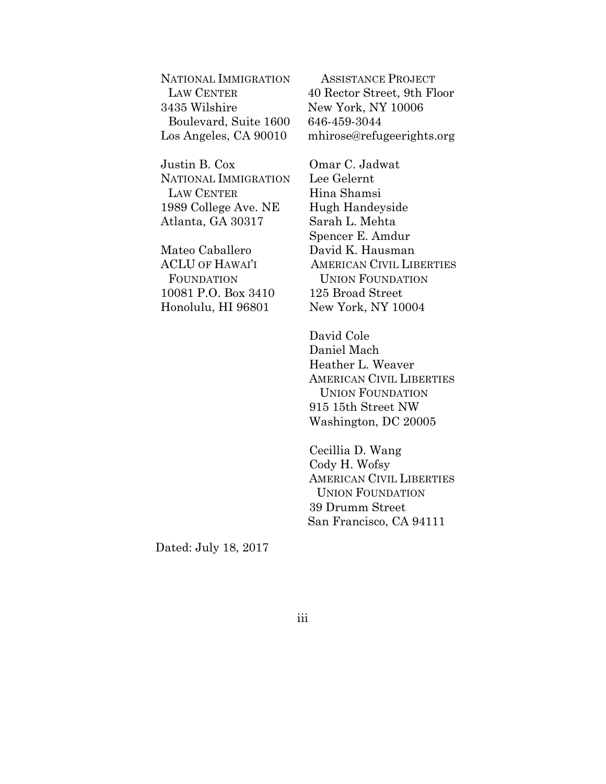NATIONAL IMMIGRATION LAW CENTER 3435 Wilshire Boulevard, Suite 1600 Los Angeles, CA 90010

Justin B. Cox NATIONAL IMMIGRATION LAW CENTER 1989 College Ave. NE Atlanta, GA 30317

Mateo Caballero ACLU OF HAWAI'I FOUNDATION 10081 P.O. Box 3410 Honolulu, HI 96801

ASSISTANCE PROJECT 40 Rector Street, 9th Floor New York, NY 10006 646-459-3044 mhirose@refugeerights.org

Omar C. Jadwat Lee Gelernt Hina Shamsi Hugh Handeyside Sarah L. Mehta Spencer E. Amdur David K. Hausman AMERICAN CIVIL LIBERTIES UNION FOUNDATION 125 Broad Street New York, NY 10004

David Cole Daniel Mach Heather L. Weaver AMERICAN CIVIL LIBERTIES UNION FOUNDATION 915 15th Street NW Washington, DC 20005

Cecillia D. Wang Cody H. Wofsy AMERICAN CIVIL LIBERTIES UNION FOUNDATION 39 Drumm Street San Francisco, CA 94111

Dated: July 18, 2017

iii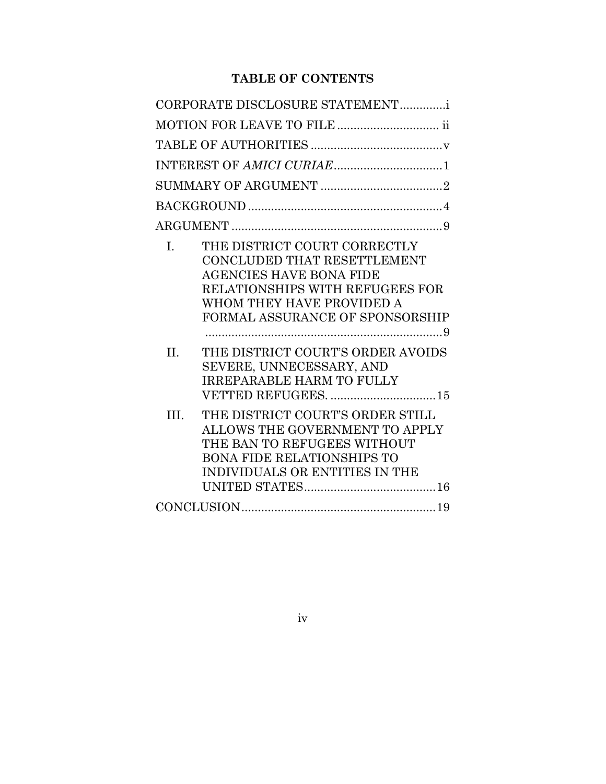# **TABLE OF CONTENTS**

|                | CORPORATE DISCLOSURE STATEMENTi                                                                                                                                                                  |
|----------------|--------------------------------------------------------------------------------------------------------------------------------------------------------------------------------------------------|
|                | MOTION FOR LEAVE TO FILE ii                                                                                                                                                                      |
|                |                                                                                                                                                                                                  |
|                |                                                                                                                                                                                                  |
|                |                                                                                                                                                                                                  |
|                |                                                                                                                                                                                                  |
|                |                                                                                                                                                                                                  |
| $\mathbf{I}$ . | THE DISTRICT COURT CORRECTLY<br>CONCLUDED THAT RESETTLEMENT<br><b>AGENCIES HAVE BONA FIDE</b><br>RELATIONSHIPS WITH REFUGEES FOR<br>WHOM THEY HAVE PROVIDED A<br>FORMAL ASSURANCE OF SPONSORSHIP |
| II.            | THE DISTRICT COURT'S ORDER AVOIDS<br>SEVERE, UNNECESSARY, AND<br><b>IRREPARABLE HARM TO FULLY</b>                                                                                                |
| III.           | THE DISTRICT COURT'S ORDER STILL<br>ALLOWS THE GOVERNMENT TO APPLY<br>THE BAN TO REFUGEES WITHOUT<br><b>BONA FIDE RELATIONSHIPS TO</b><br>INDIVIDUALS OR ENTITIES IN THE                         |
|                |                                                                                                                                                                                                  |

iv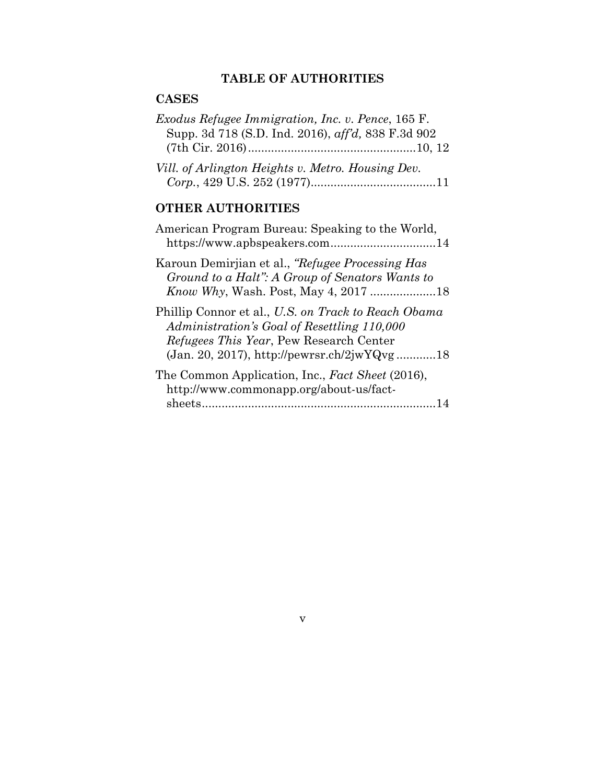# **TABLE OF AUTHORITIES**

## **CASES**

| <i>Exodus Refugee Immigration, Inc. v. Pence, 165 F.</i> |  |
|----------------------------------------------------------|--|
| Supp. 3d 718 (S.D. Ind. 2016), aff'd, 838 F.3d 902       |  |
|                                                          |  |
| Vill. of Arlington Heights v. Metro. Housing Dev.        |  |

|--|--|--|--|--|

## **OTHER AUTHORITIES**

| American Program Bureau: Speaking to the World,<br>https://www.apbspeakers.com14                                                                                                                     |
|------------------------------------------------------------------------------------------------------------------------------------------------------------------------------------------------------|
| Karoun Demirjian et al., "Refugee Processing Has<br>Ground to a Halt": A Group of Senators Wants to                                                                                                  |
| Phillip Connor et al., U.S. on Track to Reach Obama<br>Administration's Goal of Resettling 110,000<br><i>Refugees This Year</i> , Pew Research Center<br>(Jan. 20, 2017), http://pewrsr.ch/2jwYQvg18 |
| The Common Application, Inc., Fact Sheet (2016),<br>http://www.commonapp.org/about-us/fact-                                                                                                          |
|                                                                                                                                                                                                      |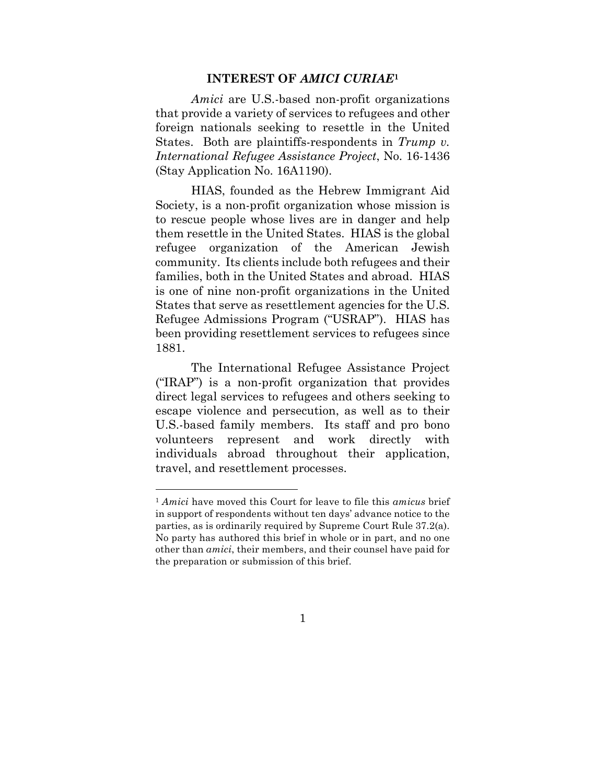#### **INTEREST OF** *AMICI CURIAE***<sup>1</sup>**

*Amici* are U.S.-based non-profit organizations that provide a variety of services to refugees and other foreign nationals seeking to resettle in the United States. Both are plaintiffs-respondents in *Trump v. International Refugee Assistance Project*, No. 16-1436 (Stay Application No. 16A1190).

HIAS, founded as the Hebrew Immigrant Aid Society, is a non-profit organization whose mission is to rescue people whose lives are in danger and help them resettle in the United States. HIAS is the global refugee organization of the American Jewish community. Its clients include both refugees and their families, both in the United States and abroad. HIAS is one of nine non-profit organizations in the United States that serve as resettlement agencies for the U.S. Refugee Admissions Program ("USRAP"). HIAS has been providing resettlement services to refugees since 1881.

The International Refugee Assistance Project ("IRAP") is a non-profit organization that provides direct legal services to refugees and others seeking to escape violence and persecution, as well as to their U.S.-based family members. Its staff and pro bono volunteers represent and work directly with individuals abroad throughout their application, travel, and resettlement processes.

<u> 1989 - Johann Barn, mars ann an t-Amhain Aonaich ann an t-Aonaich ann an t-Aonaich ann an t-Aonaich ann an t-</u>

<sup>1</sup> *Amici* have moved this Court for leave to file this *amicus* brief in support of respondents without ten days' advance notice to the parties, as is ordinarily required by Supreme Court Rule 37.2(a). No party has authored this brief in whole or in part, and no one other than *amici*, their members, and their counsel have paid for the preparation or submission of this brief.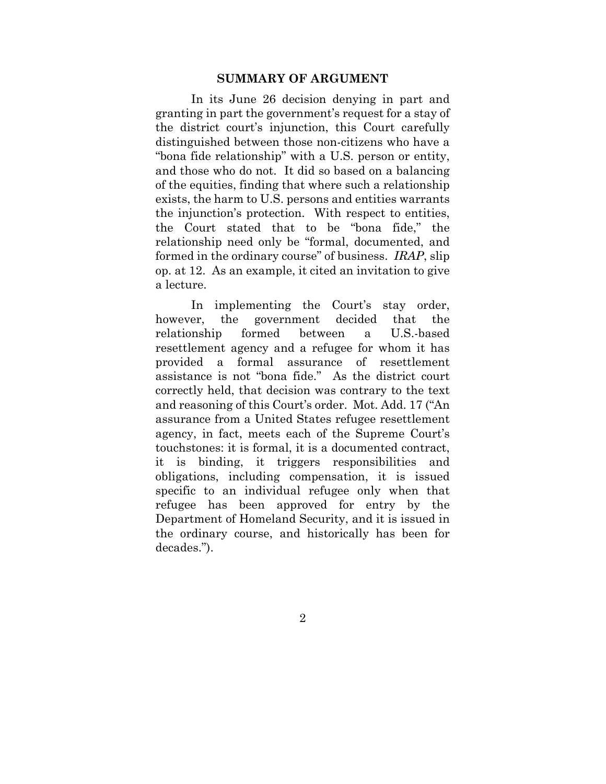#### **SUMMARY OF ARGUMENT**

In its June 26 decision denying in part and granting in part the government's request for a stay of the district court's injunction, this Court carefully distinguished between those non-citizens who have a "bona fide relationship" with a U.S. person or entity, and those who do not. It did so based on a balancing of the equities, finding that where such a relationship exists, the harm to U.S. persons and entities warrants the injunction's protection. With respect to entities, the Court stated that to be "bona fide," the relationship need only be "formal, documented, and formed in the ordinary course" of business. *IRAP*, slip op. at 12. As an example, it cited an invitation to give a lecture.

In implementing the Court's stay order, however, the government decided that the relationship formed between a U.S.-based resettlement agency and a refugee for whom it has provided a formal assurance of resettlement assistance is not "bona fide." As the district court correctly held, that decision was contrary to the text and reasoning of this Court's order. Mot. Add. 17 ("An assurance from a United States refugee resettlement agency, in fact, meets each of the Supreme Court's touchstones: it is formal, it is a documented contract, it is binding, it triggers responsibilities and obligations, including compensation, it is issued specific to an individual refugee only when that refugee has been approved for entry by the Department of Homeland Security, and it is issued in the ordinary course, and historically has been for decades.").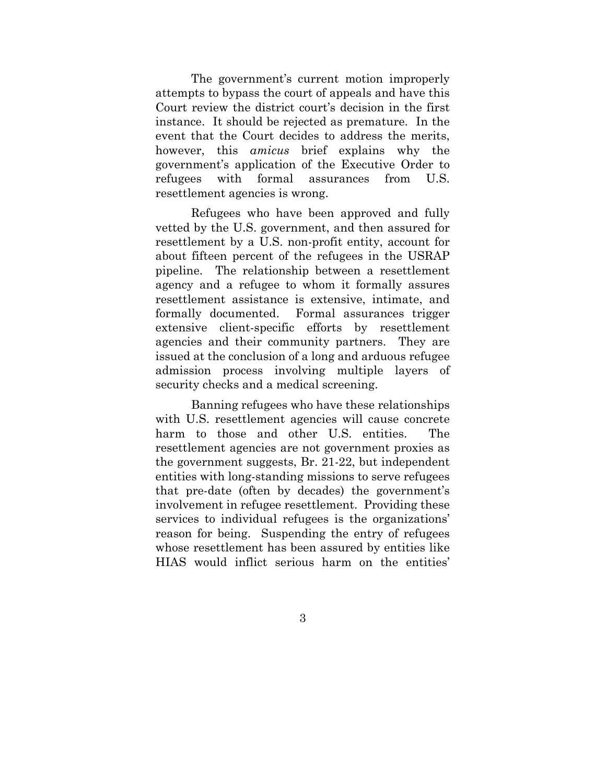The government's current motion improperly attempts to bypass the court of appeals and have this Court review the district court's decision in the first instance. It should be rejected as premature. In the event that the Court decides to address the merits, however, this *amicus* brief explains why the government's application of the Executive Order to refugees with formal assurances from U.S. resettlement agencies is wrong.

Refugees who have been approved and fully vetted by the U.S. government, and then assured for resettlement by a U.S. non-profit entity, account for about fifteen percent of the refugees in the USRAP pipeline. The relationship between a resettlement agency and a refugee to whom it formally assures resettlement assistance is extensive, intimate, and formally documented. Formal assurances trigger extensive client-specific efforts by resettlement agencies and their community partners. They are issued at the conclusion of a long and arduous refugee admission process involving multiple layers of security checks and a medical screening.

Banning refugees who have these relationships with U.S. resettlement agencies will cause concrete harm to those and other U.S. entities. The resettlement agencies are not government proxies as the government suggests, Br. 21-22, but independent entities with long-standing missions to serve refugees that pre-date (often by decades) the government's involvement in refugee resettlement. Providing these services to individual refugees is the organizations' reason for being. Suspending the entry of refugees whose resettlement has been assured by entities like HIAS would inflict serious harm on the entities'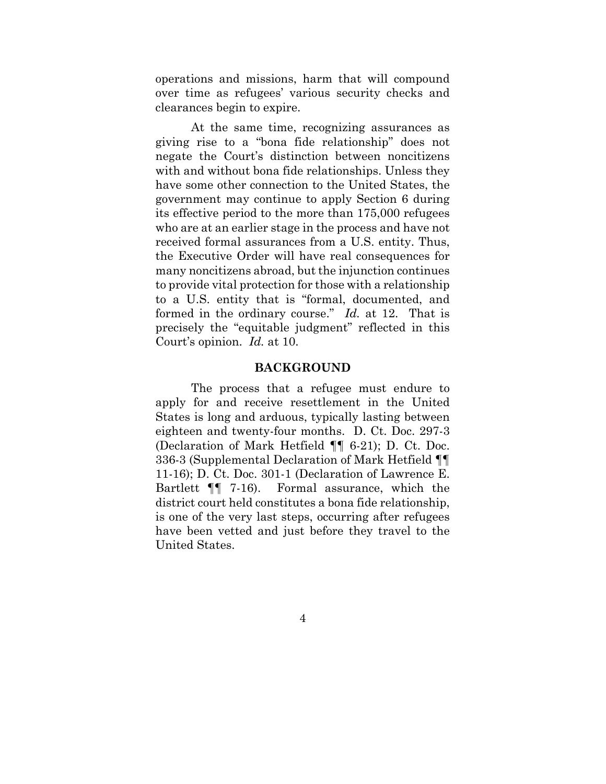operations and missions, harm that will compound over time as refugees' various security checks and clearances begin to expire.

At the same time, recognizing assurances as giving rise to a "bona fide relationship" does not negate the Court's distinction between noncitizens with and without bona fide relationships. Unless they have some other connection to the United States, the government may continue to apply Section 6 during its effective period to the more than 175,000 refugees who are at an earlier stage in the process and have not received formal assurances from a U.S. entity. Thus, the Executive Order will have real consequences for many noncitizens abroad, but the injunction continues to provide vital protection for those with a relationship to a U.S. entity that is "formal, documented, and formed in the ordinary course." *Id.* at 12. That is precisely the "equitable judgment" reflected in this Court's opinion. *Id.* at 10.

### **BACKGROUND**

The process that a refugee must endure to apply for and receive resettlement in the United States is long and arduous, typically lasting between eighteen and twenty-four months. D. Ct. Doc. 297-3 (Declaration of Mark Hetfield ¶¶ 6-21); D. Ct. Doc. 336-3 (Supplemental Declaration of Mark Hetfield ¶¶ 11-16); D. Ct. Doc. 301-1 (Declaration of Lawrence E. Bartlett ¶¶ 7-16). Formal assurance, which the district court held constitutes a bona fide relationship, is one of the very last steps, occurring after refugees have been vetted and just before they travel to the United States.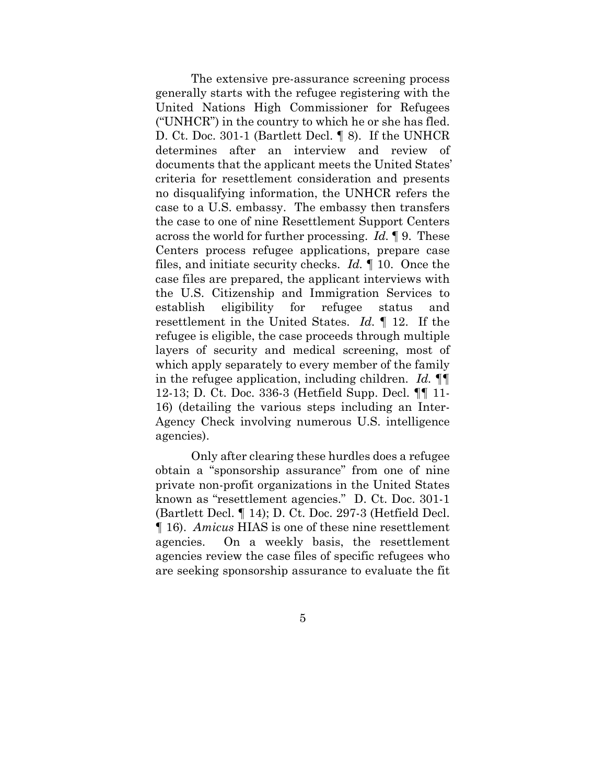The extensive pre-assurance screening process generally starts with the refugee registering with the United Nations High Commissioner for Refugees ("UNHCR") in the country to which he or she has fled. D. Ct. Doc. 301-1 (Bartlett Decl. ¶ 8). If the UNHCR determines after an interview and review of documents that the applicant meets the United States' criteria for resettlement consideration and presents no disqualifying information, the UNHCR refers the case to a U.S. embassy. The embassy then transfers the case to one of nine Resettlement Support Centers across the world for further processing. *Id.* ¶ 9. These Centers process refugee applications, prepare case files, and initiate security checks. *Id.* ¶ 10. Once the case files are prepared, the applicant interviews with the U.S. Citizenship and Immigration Services to establish eligibility for refugee status and resettlement in the United States. *Id.* ¶ 12. If the refugee is eligible, the case proceeds through multiple layers of security and medical screening, most of which apply separately to every member of the family in the refugee application, including children. *Id.* ¶¶ 12-13; D. Ct. Doc. 336-3 (Hetfield Supp. Decl. ¶¶ 11- 16) (detailing the various steps including an Inter-Agency Check involving numerous U.S. intelligence agencies).

Only after clearing these hurdles does a refugee obtain a "sponsorship assurance" from one of nine private non-profit organizations in the United States known as "resettlement agencies." D. Ct. Doc. 301-1 (Bartlett Decl. ¶ 14); D. Ct. Doc. 297-3 (Hetfield Decl. ¶ 16). *Amicus* HIAS is one of these nine resettlement agencies. On a weekly basis, the resettlement agencies review the case files of specific refugees who are seeking sponsorship assurance to evaluate the fit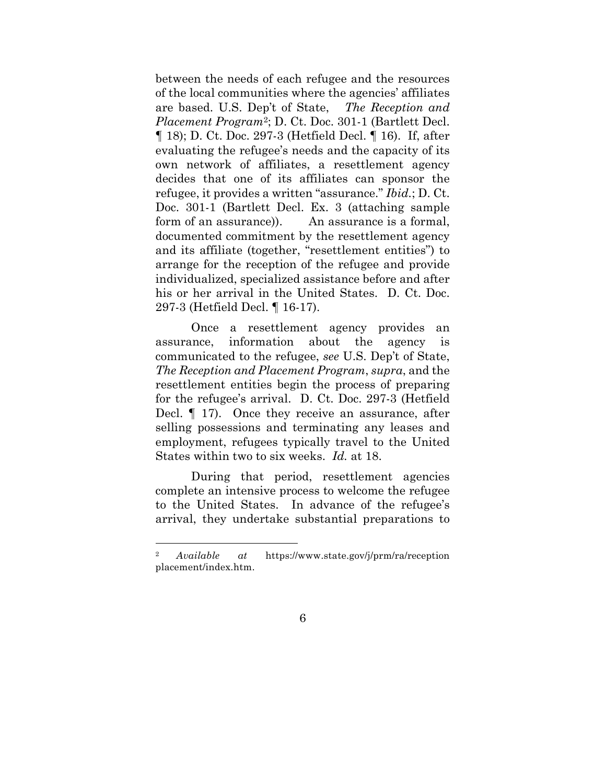between the needs of each refugee and the resources of the local communities where the agencies' affiliates are based. U.S. Dep't of State, *The Reception and Placement Program*2; D. Ct. Doc. 301-1 (Bartlett Decl. ¶ 18); D. Ct. Doc. 297-3 (Hetfield Decl. ¶ 16). If, after evaluating the refugee's needs and the capacity of its own network of affiliates, a resettlement agency decides that one of its affiliates can sponsor the refugee, it provides a written "assurance." *Ibid.*; D. Ct. Doc. 301-1 (Bartlett Decl. Ex. 3 (attaching sample form of an assurance)). An assurance is a formal, documented commitment by the resettlement agency and its affiliate (together, "resettlement entities") to arrange for the reception of the refugee and provide individualized, specialized assistance before and after his or her arrival in the United States. D. Ct. Doc. 297-3 (Hetfield Decl. ¶ 16-17).

Once a resettlement agency provides an assurance, information about the agency is communicated to the refugee, *see* U.S. Dep't of State, *The Reception and Placement Program*, *supra*, and the resettlement entities begin the process of preparing for the refugee's arrival. D. Ct. Doc. 297-3 (Hetfield Decl. ¶ 17). Once they receive an assurance, after selling possessions and terminating any leases and employment, refugees typically travel to the United States within two to six weeks. *Id.* at 18.

During that period, resettlement agencies complete an intensive process to welcome the refugee to the United States. In advance of the refugee's arrival, they undertake substantial preparations to

<u> 1989 - Johann Barn, mars ann an t-Amhain Aonaich ann an t-Aonaich ann an t-Aonaich ann an t-Aonaich ann an t-</u>

<sup>2</sup> *Available at* https://www.state.gov/j/prm/ra/reception placement/index.htm.

<sup>6</sup>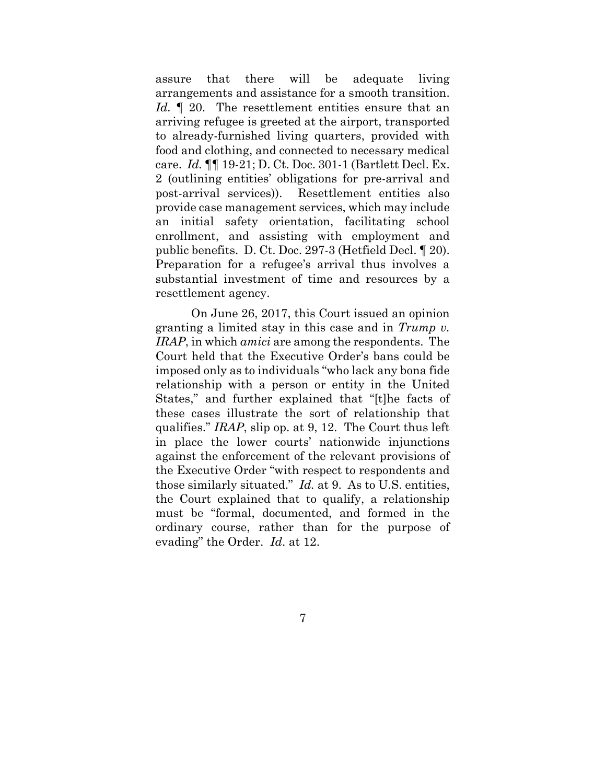assure that there will be adequate living arrangements and assistance for a smooth transition. Id. 1 20. The resettlement entities ensure that an arriving refugee is greeted at the airport, transported to already-furnished living quarters, provided with food and clothing, and connected to necessary medical care. *Id.* ¶¶ 19-21; D. Ct. Doc. 301-1 (Bartlett Decl. Ex. 2 (outlining entities' obligations for pre-arrival and post-arrival services)). Resettlement entities also provide case management services, which may include an initial safety orientation, facilitating school enrollment, and assisting with employment and public benefits. D. Ct. Doc. 297-3 (Hetfield Decl. ¶ 20). Preparation for a refugee's arrival thus involves a substantial investment of time and resources by a resettlement agency.

On June 26, 2017, this Court issued an opinion granting a limited stay in this case and in *Trump v. IRAP*, in which *amici* are among the respondents. The Court held that the Executive Order's bans could be imposed only as to individuals "who lack any bona fide relationship with a person or entity in the United States," and further explained that "[t]he facts of these cases illustrate the sort of relationship that qualifies." *IRAP*, slip op. at 9, 12. The Court thus left in place the lower courts' nationwide injunctions against the enforcement of the relevant provisions of the Executive Order "with respect to respondents and those similarly situated." *Id.* at 9. As to U.S. entities, the Court explained that to qualify, a relationship must be "formal, documented, and formed in the ordinary course, rather than for the purpose of evading" the Order. *Id*. at 12.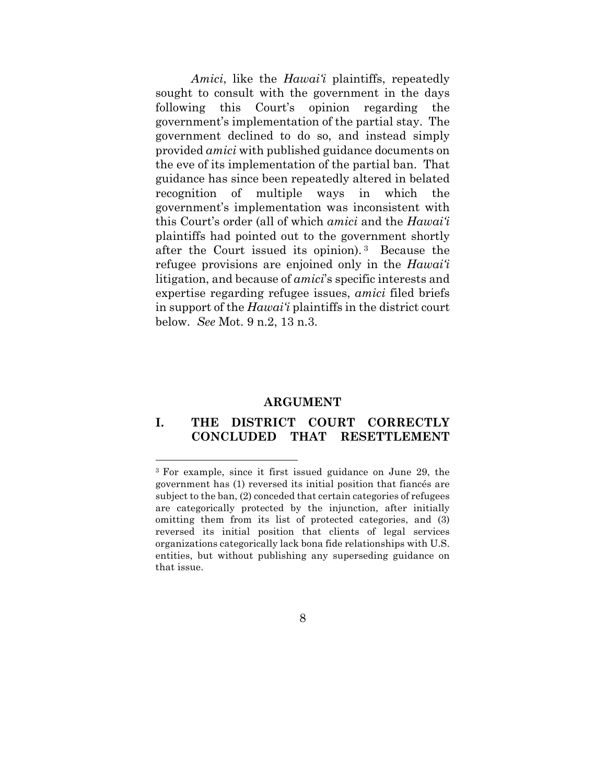*Amici*, like the *Hawai'i* plaintiffs, repeatedly sought to consult with the government in the days following this Court's opinion regarding the government's implementation of the partial stay. The government declined to do so, and instead simply provided *amici* with published guidance documents on the eve of its implementation of the partial ban. That guidance has since been repeatedly altered in belated recognition of multiple ways in which the government's implementation was inconsistent with this Court's order (all of which *amici* and the *Hawai'i* plaintiffs had pointed out to the government shortly after the Court issued its opinion). 3 Because the refugee provisions are enjoined only in the *Hawai'i* litigation, and because of *amici*'s specific interests and expertise regarding refugee issues, *amici* filed briefs in support of the *Hawai'i* plaintiffs in the district court below. *See* Mot. 9 n.2, 13 n.3.

#### **ARGUMENT**

### **I. THE DISTRICT COURT CORRECTLY CONCLUDED THAT RESETTLEMENT**

<u> 1989 - Johann Barn, mars ann an t-Amhain Aonaich ann an t-Aonaich ann an t-Aonaich ann an t-Aonaich ann an t-</u>

<sup>3</sup> For example, since it first issued guidance on June 29, the government has (1) reversed its initial position that fiancés are subject to the ban, (2) conceded that certain categories of refugees are categorically protected by the injunction, after initially omitting them from its list of protected categories, and (3) reversed its initial position that clients of legal services organizations categorically lack bona fide relationships with U.S. entities, but without publishing any superseding guidance on that issue.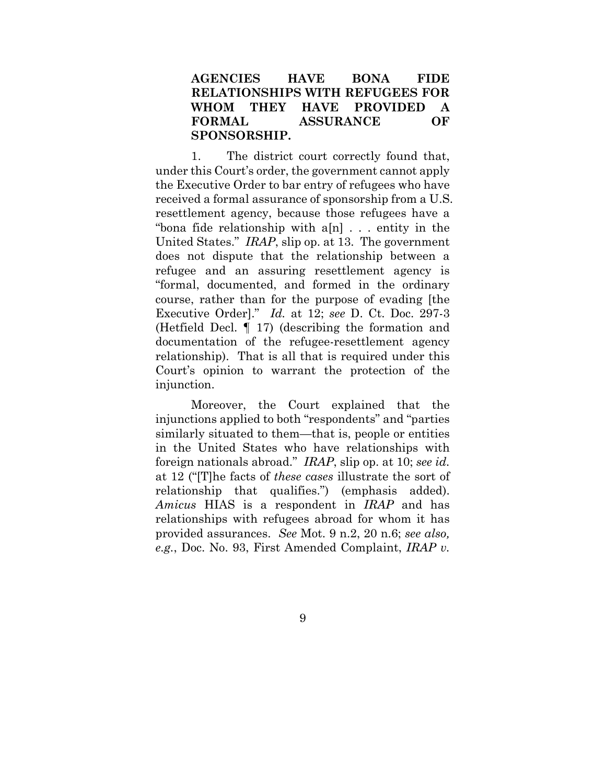## **AGENCIES HAVE BONA FIDE RELATIONSHIPS WITH REFUGEES FOR WHOM THEY HAVE PROVIDED A FORMAL ASSURANCE OF SPONSORSHIP.**

1. The district court correctly found that, under this Court's order, the government cannot apply the Executive Order to bar entry of refugees who have received a formal assurance of sponsorship from a U.S. resettlement agency, because those refugees have a "bona fide relationship with a[n] . . . entity in the United States." *IRAP*, slip op. at 13. The government does not dispute that the relationship between a refugee and an assuring resettlement agency is "formal, documented, and formed in the ordinary course, rather than for the purpose of evading [the Executive Order]." *Id.* at 12; *see* D. Ct. Doc. 297-3 (Hetfield Decl. ¶ 17) (describing the formation and documentation of the refugee-resettlement agency relationship). That is all that is required under this Court's opinion to warrant the protection of the injunction.

Moreover, the Court explained that the injunctions applied to both "respondents" and "parties similarly situated to them—that is, people or entities in the United States who have relationships with foreign nationals abroad." *IRAP*, slip op. at 10; *see id.*  at 12 ("[T]he facts of *these cases* illustrate the sort of relationship that qualifies.") (emphasis added). *Amicus* HIAS is a respondent in *IRAP* and has relationships with refugees abroad for whom it has provided assurances. *See* Mot. 9 n.2, 20 n.6; *see also, e.g.*, Doc. No. 93, First Amended Complaint, *IRAP v.*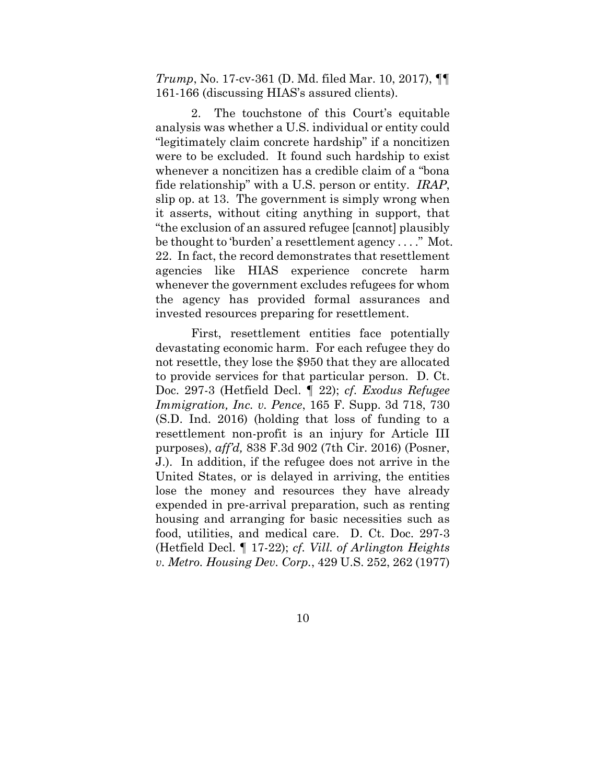*Trump*, No. 17-cv-361 (D. Md. filed Mar. 10, 2017), ¶¶ 161-166 (discussing HIAS's assured clients).

2. The touchstone of this Court's equitable analysis was whether a U.S. individual or entity could "legitimately claim concrete hardship" if a noncitizen were to be excluded. It found such hardship to exist whenever a noncitizen has a credible claim of a "bona fide relationship" with a U.S. person or entity. *IRAP*, slip op. at 13. The government is simply wrong when it asserts, without citing anything in support, that "the exclusion of an assured refugee [cannot] plausibly be thought to 'burden' a resettlement agency . . . ." Mot. 22. In fact, the record demonstrates that resettlement agencies like HIAS experience concrete harm whenever the government excludes refugees for whom the agency has provided formal assurances and invested resources preparing for resettlement.

First, resettlement entities face potentially devastating economic harm. For each refugee they do not resettle, they lose the \$950 that they are allocated to provide services for that particular person. D. Ct. Doc. 297-3 (Hetfield Decl. ¶ 22); *cf*. *Exodus Refugee Immigration, Inc. v. Pence*, 165 F. Supp. 3d 718, 730 (S.D. Ind. 2016) (holding that loss of funding to a resettlement non-profit is an injury for Article III purposes), *aff'd,* 838 F.3d 902 (7th Cir. 2016) (Posner, J.). In addition, if the refugee does not arrive in the United States, or is delayed in arriving, the entities lose the money and resources they have already expended in pre-arrival preparation, such as renting housing and arranging for basic necessities such as food, utilities, and medical care. D. Ct. Doc. 297-3 (Hetfield Decl. ¶ 17-22); *cf. Vill. of Arlington Heights v. Metro. Housing Dev. Corp.*, 429 U.S. 252, 262 (1977)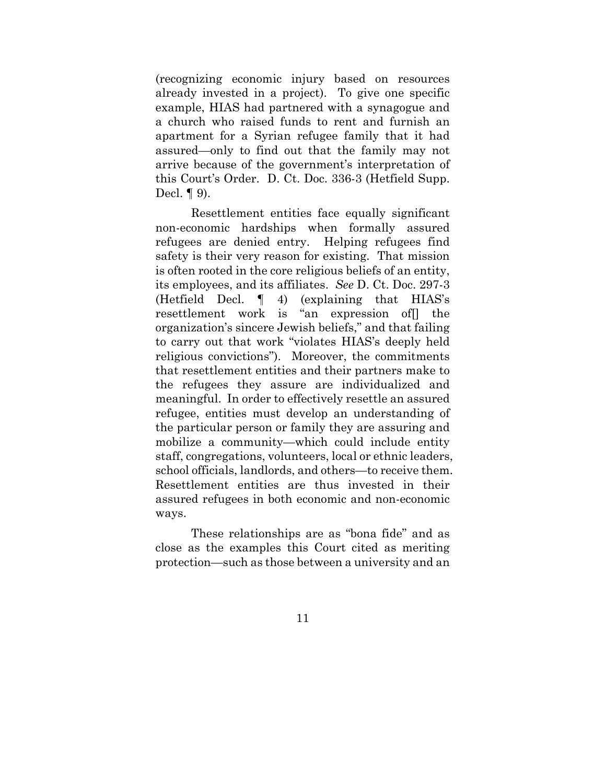(recognizing economic injury based on resources already invested in a project). To give one specific example, HIAS had partnered with a synagogue and a church who raised funds to rent and furnish an apartment for a Syrian refugee family that it had assured—only to find out that the family may not arrive because of the government's interpretation of this Court's Order. D. Ct. Doc. 336-3 (Hetfield Supp. Decl. ¶ 9).

Resettlement entities face equally significant non-economic hardships when formally assured refugees are denied entry. Helping refugees find safety is their very reason for existing. That mission is often rooted in the core religious beliefs of an entity, its employees, and its affiliates. *See* D. Ct. Doc. 297-3 (Hetfield Decl. ¶ 4) (explaining that HIAS's resettlement work is "an expression of[] the organization's sincere Jewish beliefs," and that failing to carry out that work "violates HIAS's deeply held religious convictions"). Moreover, the commitments that resettlement entities and their partners make to the refugees they assure are individualized and meaningful. In order to effectively resettle an assured refugee, entities must develop an understanding of the particular person or family they are assuring and mobilize a community—which could include entity staff, congregations, volunteers, local or ethnic leaders, school officials, landlords, and others—to receive them. Resettlement entities are thus invested in their assured refugees in both economic and non-economic ways.

These relationships are as "bona fide" and as close as the examples this Court cited as meriting protection—such as those between a university and an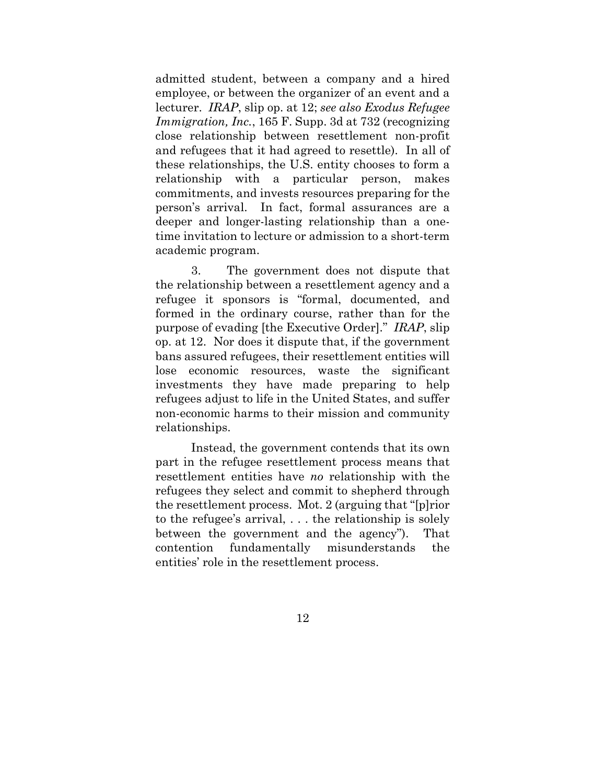admitted student, between a company and a hired employee, or between the organizer of an event and a lecturer. *IRAP*, slip op. at 12; *see also Exodus Refugee Immigration, Inc.*, 165 F. Supp. 3d at 732 (recognizing close relationship between resettlement non-profit and refugees that it had agreed to resettle). In all of these relationships, the U.S. entity chooses to form a relationship with a particular person, makes commitments, and invests resources preparing for the person's arrival. In fact, formal assurances are a deeper and longer-lasting relationship than a onetime invitation to lecture or admission to a short-term academic program.

3. The government does not dispute that the relationship between a resettlement agency and a refugee it sponsors is "formal, documented, and formed in the ordinary course, rather than for the purpose of evading [the Executive Order]." *IRAP*, slip op. at 12. Nor does it dispute that, if the government bans assured refugees, their resettlement entities will lose economic resources, waste the significant investments they have made preparing to help refugees adjust to life in the United States, and suffer non-economic harms to their mission and community relationships.

Instead, the government contends that its own part in the refugee resettlement process means that resettlement entities have *no* relationship with the refugees they select and commit to shepherd through the resettlement process. Mot. 2 (arguing that "[p]rior to the refugee's arrival, . . . the relationship is solely between the government and the agency"). That contention fundamentally misunderstands the entities' role in the resettlement process.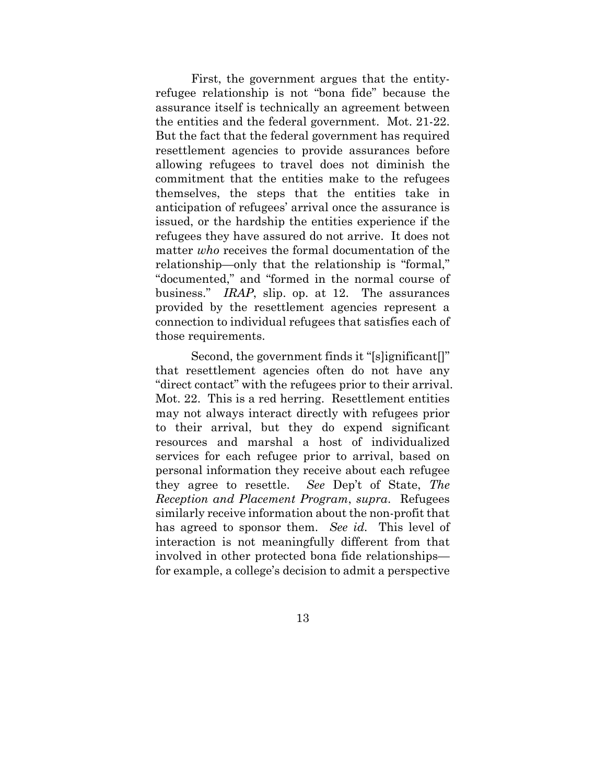First, the government argues that the entityrefugee relationship is not "bona fide" because the assurance itself is technically an agreement between the entities and the federal government. Mot. 21-22. But the fact that the federal government has required resettlement agencies to provide assurances before allowing refugees to travel does not diminish the commitment that the entities make to the refugees themselves, the steps that the entities take in anticipation of refugees' arrival once the assurance is issued, or the hardship the entities experience if the refugees they have assured do not arrive. It does not matter *who* receives the formal documentation of the relationship—only that the relationship is "formal," "documented," and "formed in the normal course of business." *IRAP*, slip. op. at 12. The assurances provided by the resettlement agencies represent a connection to individual refugees that satisfies each of those requirements.

Second, the government finds it "[s]ignificant[]" that resettlement agencies often do not have any "direct contact" with the refugees prior to their arrival. Mot. 22. This is a red herring. Resettlement entities may not always interact directly with refugees prior to their arrival, but they do expend significant resources and marshal a host of individualized services for each refugee prior to arrival, based on personal information they receive about each refugee they agree to resettle. *See* Dep't of State, *The Reception and Placement Program*, *supra*. Refugees similarly receive information about the non-profit that has agreed to sponsor them. *See id.* This level of interaction is not meaningfully different from that involved in other protected bona fide relationships for example, a college's decision to admit a perspective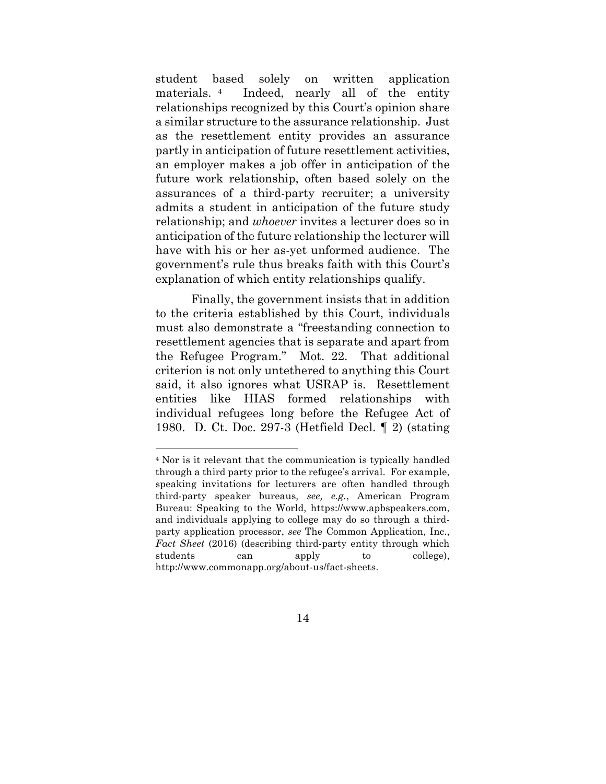student based solely on written application materials. 4 Indeed, nearly all of the entity relationships recognized by this Court's opinion share a similar structure to the assurance relationship. Just as the resettlement entity provides an assurance partly in anticipation of future resettlement activities, an employer makes a job offer in anticipation of the future work relationship, often based solely on the assurances of a third-party recruiter; a university admits a student in anticipation of the future study relationship; and *whoever* invites a lecturer does so in anticipation of the future relationship the lecturer will have with his or her as-yet unformed audience. The government's rule thus breaks faith with this Court's explanation of which entity relationships qualify.

Finally, the government insists that in addition to the criteria established by this Court, individuals must also demonstrate a "freestanding connection to resettlement agencies that is separate and apart from the Refugee Program." Mot. 22. That additional criterion is not only untethered to anything this Court said, it also ignores what USRAP is. Resettlement entities like HIAS formed relationships with individual refugees long before the Refugee Act of 1980. D. Ct. Doc. 297-3 (Hetfield Decl. ¶ 2) (stating

<u> 1989 - Johann Barn, mars ann an t-Amhain Aonaich ann an t-Aonaich ann an t-Aonaich ann an t-Aonaich ann an t-</u>

<sup>4</sup> Nor is it relevant that the communication is typically handled through a third party prior to the refugee's arrival. For example, speaking invitations for lecturers are often handled through third-party speaker bureaus*, see, e.g.*, American Program Bureau: Speaking to the World, https://www.apbspeakers.com, and individuals applying to college may do so through a thirdparty application processor, *see* The Common Application, Inc., *Fact Sheet* (2016) (describing third-party entity through which students can apply to college), http://www.commonapp.org/about-us/fact-sheets.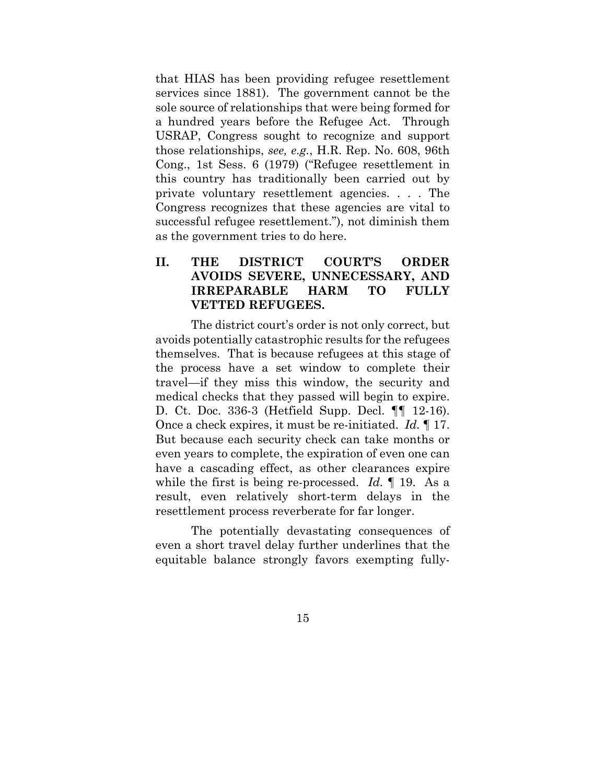that HIAS has been providing refugee resettlement services since 1881). The government cannot be the sole source of relationships that were being formed for a hundred years before the Refugee Act. Through USRAP, Congress sought to recognize and support those relationships, *see, e.g.*, H.R. Rep. No. 608, 96th Cong., 1st Sess. 6 (1979) ("Refugee resettlement in this country has traditionally been carried out by private voluntary resettlement agencies. . . . The Congress recognizes that these agencies are vital to successful refugee resettlement."), not diminish them as the government tries to do here.

## **II. THE DISTRICT COURT'S ORDER AVOIDS SEVERE, UNNECESSARY, AND IRREPARABLE HARM TO FULLY VETTED REFUGEES.**

The district court's order is not only correct, but avoids potentially catastrophic results for the refugees themselves. That is because refugees at this stage of the process have a set window to complete their travel—if they miss this window, the security and medical checks that they passed will begin to expire. D. Ct. Doc. 336-3 (Hetfield Supp. Decl. ¶¶ 12-16). Once a check expires, it must be re-initiated. *Id.* ¶ 17. But because each security check can take months or even years to complete, the expiration of even one can have a cascading effect, as other clearances expire while the first is being re-processed. *Id.* ¶ 19. As a result, even relatively short-term delays in the resettlement process reverberate for far longer.

The potentially devastating consequences of even a short travel delay further underlines that the equitable balance strongly favors exempting fully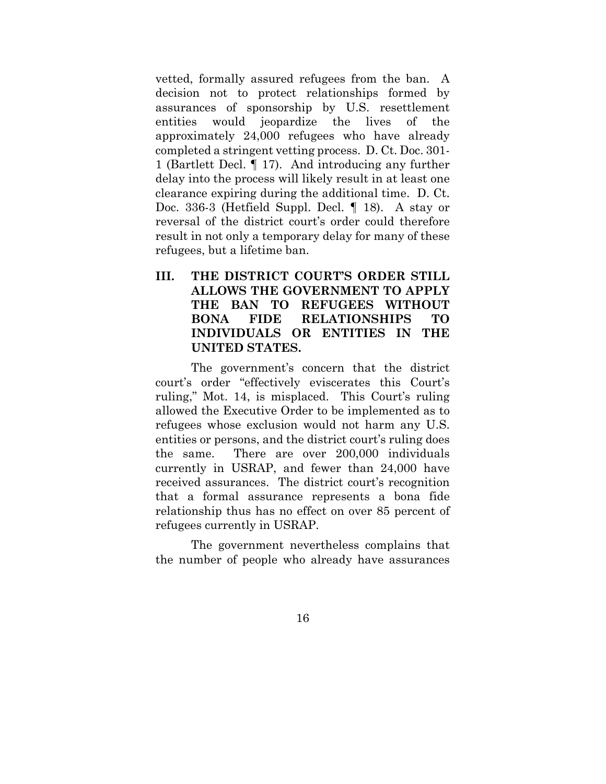vetted, formally assured refugees from the ban. A decision not to protect relationships formed by assurances of sponsorship by U.S. resettlement entities would jeopardize the lives of the approximately 24,000 refugees who have already completed a stringent vetting process. D. Ct. Doc. 301- 1 (Bartlett Decl. ¶ 17). And introducing any further delay into the process will likely result in at least one clearance expiring during the additional time. D. Ct. Doc. 336-3 (Hetfield Suppl. Decl. ¶ 18). A stay or reversal of the district court's order could therefore result in not only a temporary delay for many of these refugees, but a lifetime ban.

## **III. THE DISTRICT COURT'S ORDER STILL ALLOWS THE GOVERNMENT TO APPLY THE BAN TO REFUGEES WITHOUT BONA FIDE RELATIONSHIPS TO INDIVIDUALS OR ENTITIES IN THE UNITED STATES.**

The government's concern that the district court's order "effectively eviscerates this Court's ruling," Mot. 14, is misplaced. This Court's ruling allowed the Executive Order to be implemented as to refugees whose exclusion would not harm any U.S. entities or persons, and the district court's ruling does the same. There are over 200,000 individuals currently in USRAP, and fewer than 24,000 have received assurances. The district court's recognition that a formal assurance represents a bona fide relationship thus has no effect on over 85 percent of refugees currently in USRAP.

The government nevertheless complains that the number of people who already have assurances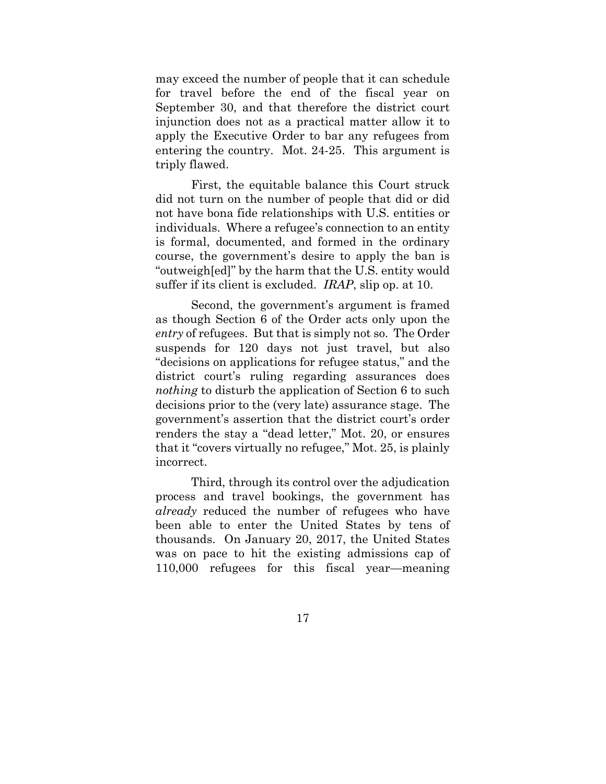may exceed the number of people that it can schedule for travel before the end of the fiscal year on September 30, and that therefore the district court injunction does not as a practical matter allow it to apply the Executive Order to bar any refugees from entering the country. Mot. 24-25. This argument is triply flawed.

First, the equitable balance this Court struck did not turn on the number of people that did or did not have bona fide relationships with U.S. entities or individuals. Where a refugee's connection to an entity is formal, documented, and formed in the ordinary course, the government's desire to apply the ban is "outweigh[ed]" by the harm that the U.S. entity would suffer if its client is excluded. *IRAP*, slip op. at 10.

Second, the government's argument is framed as though Section 6 of the Order acts only upon the *entry* of refugees. But that is simply not so. The Order suspends for 120 days not just travel, but also "decisions on applications for refugee status," and the district court's ruling regarding assurances does *nothing* to disturb the application of Section 6 to such decisions prior to the (very late) assurance stage. The government's assertion that the district court's order renders the stay a "dead letter," Mot. 20, or ensures that it "covers virtually no refugee," Mot. 25, is plainly incorrect.

Third, through its control over the adjudication process and travel bookings, the government has *already* reduced the number of refugees who have been able to enter the United States by tens of thousands. On January 20, 2017, the United States was on pace to hit the existing admissions cap of 110,000 refugees for this fiscal year—meaning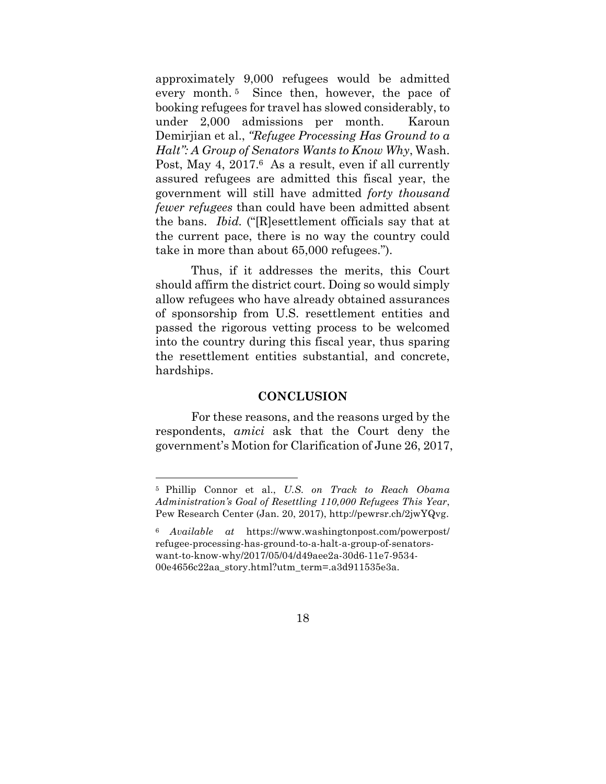approximately 9,000 refugees would be admitted every month. <sup>5</sup> Since then, however, the pace of booking refugees for travel has slowed considerably, to under 2,000 admissions per month. Karoun Demirjian et al., *"Refugee Processing Has Ground to a Halt": A Group of Senators Wants to Know Why*, Wash. Post, May 4, 2017.<sup>6</sup> As a result, even if all currently assured refugees are admitted this fiscal year, the government will still have admitted *forty thousand fewer refugees* than could have been admitted absent the bans. *Ibid.* ("[R]esettlement officials say that at the current pace, there is no way the country could take in more than about 65,000 refugees.").

Thus, if it addresses the merits, this Court should affirm the district court. Doing so would simply allow refugees who have already obtained assurances of sponsorship from U.S. resettlement entities and passed the rigorous vetting process to be welcomed into the country during this fiscal year, thus sparing the resettlement entities substantial, and concrete, hardships.

#### **CONCLUSION**

For these reasons, and the reasons urged by the respondents, *amici* ask that the Court deny the government's Motion for Clarification of June 26, 2017,

<u> 1989 - Johann Barn, mars ann an t-Amhain Aonaich ann an t-Aonaich ann an t-Aonaich ann an t-Aonaich ann an t-</u>

<sup>5</sup> Phillip Connor et al., *U.S. on Track to Reach Obama Administration's Goal of Resettling 110,000 Refugees This Year*, Pew Research Center (Jan. 20, 2017), http://pewrsr.ch/2jwYQvg.

<sup>6</sup> *Available at* https://www.washingtonpost.com/powerpost/ refugee-processing-has-ground-to-a-halt-a-group-of-senatorswant-to-know-why/2017/05/04/d49aee2a-30d6-11e7-9534- 00e4656c22aa\_story.html?utm\_term=.a3d911535e3a.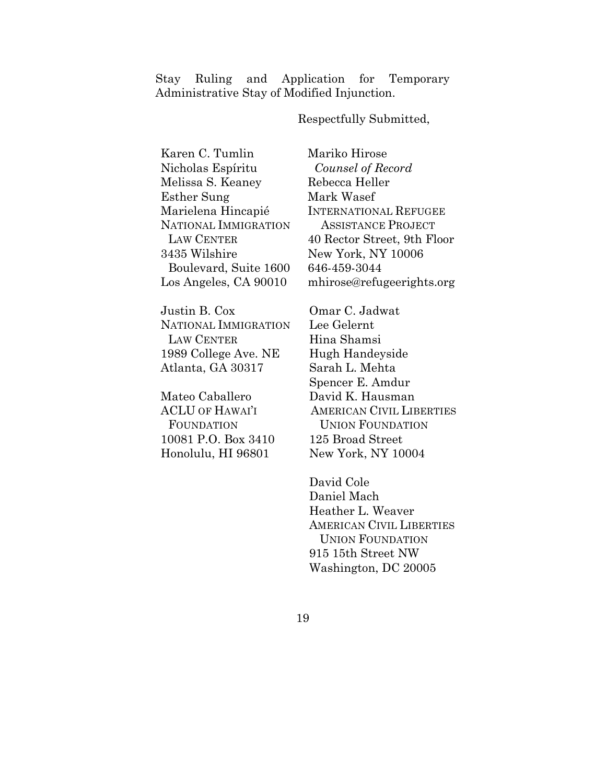Stay Ruling and Application for Temporary Administrative Stay of Modified Injunction.

Respectfully Submitted,

Karen C. Tumlin Nicholas Espíritu Melissa S. Keaney Esther Sung Marielena Hincapié NATIONAL IMMIGRATION LAW CENTER 3435 Wilshire Boulevard, Suite 1600 Los Angeles, CA 90010

Justin B. Cox NATIONAL IMMIGRATION LAW CENTER 1989 College Ave. NE Atlanta, GA 30317

Mateo Caballero ACLU OF HAWAI'I FOUNDATION 10081 P.O. Box 3410 Honolulu, HI 96801

Mariko Hirose *Counsel of Record* Rebecca Heller Mark Wasef INTERNATIONAL REFUGEE ASSISTANCE PROJECT 40 Rector Street, 9th Floor New York, NY 10006 646-459-3044 mhirose@refugeerights.org

Omar C. Jadwat Lee Gelernt Hina Shamsi Hugh Handeyside Sarah L. Mehta Spencer E. Amdur David K. Hausman AMERICAN CIVIL LIBERTIES UNION FOUNDATION 125 Broad Street New York, NY 10004

David Cole Daniel Mach Heather L. Weaver AMERICAN CIVIL LIBERTIES UNION FOUNDATION 915 15th Street NW Washington, DC 20005